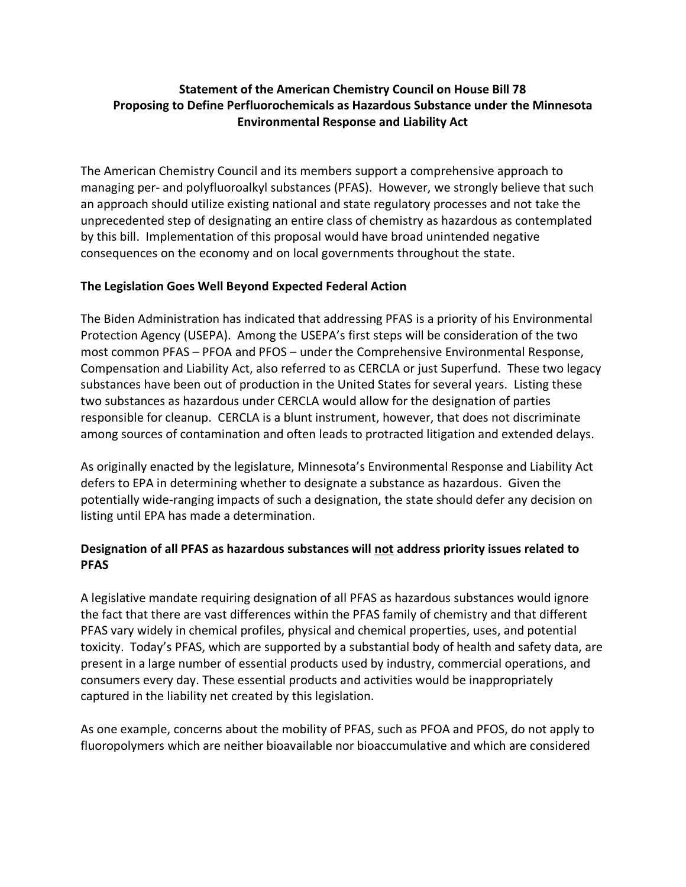## **Statement of the American Chemistry Council on House Bill 78 Proposing to Define Perfluorochemicals as Hazardous Substance under the Minnesota Environmental Response and Liability Act**

The American Chemistry Council and its members support a comprehensive approach to managing per- and polyfluoroalkyl substances (PFAS). However, we strongly believe that such an approach should utilize existing national and state regulatory processes and not take the unprecedented step of designating an entire class of chemistry as hazardous as contemplated by this bill. Implementation of this proposal would have broad unintended negative consequences on the economy and on local governments throughout the state.

## **The Legislation Goes Well Beyond Expected Federal Action**

The Biden Administration has indicated that addressing PFAS is a priority of his Environmental Protection Agency (USEPA). Among the USEPA's first steps will be consideration of the two most common PFAS – PFOA and PFOS – under the Comprehensive Environmental Response, Compensation and Liability Act, also referred to as CERCLA or just Superfund. These two legacy substances have been out of production in the United States for several years. Listing these two substances as hazardous under CERCLA would allow for the designation of parties responsible for cleanup. CERCLA is a blunt instrument, however, that does not discriminate among sources of contamination and often leads to protracted litigation and extended delays.

As originally enacted by the legislature, Minnesota's Environmental Response and Liability Act defers to EPA in determining whether to designate a substance as hazardous. Given the potentially wide-ranging impacts of such a designation, the state should defer any decision on listing until EPA has made a determination.

## **Designation of all PFAS as hazardous substances will not address priority issues related to PFAS**

A legislative mandate requiring designation of all PFAS as hazardous substances would ignore the fact that there are vast differences within the PFAS family of chemistry and that different PFAS vary widely in chemical profiles, physical and chemical properties, uses, and potential toxicity. Today's PFAS, which are supported by a substantial body of health and safety data, are present in a large number of essential products used by industry, commercial operations, and consumers every day. These essential products and activities would be inappropriately captured in the liability net created by this legislation.

As one example, concerns about the mobility of PFAS, such as PFOA and PFOS, do not apply to fluoropolymers which are neither bioavailable nor bioaccumulative and which are considered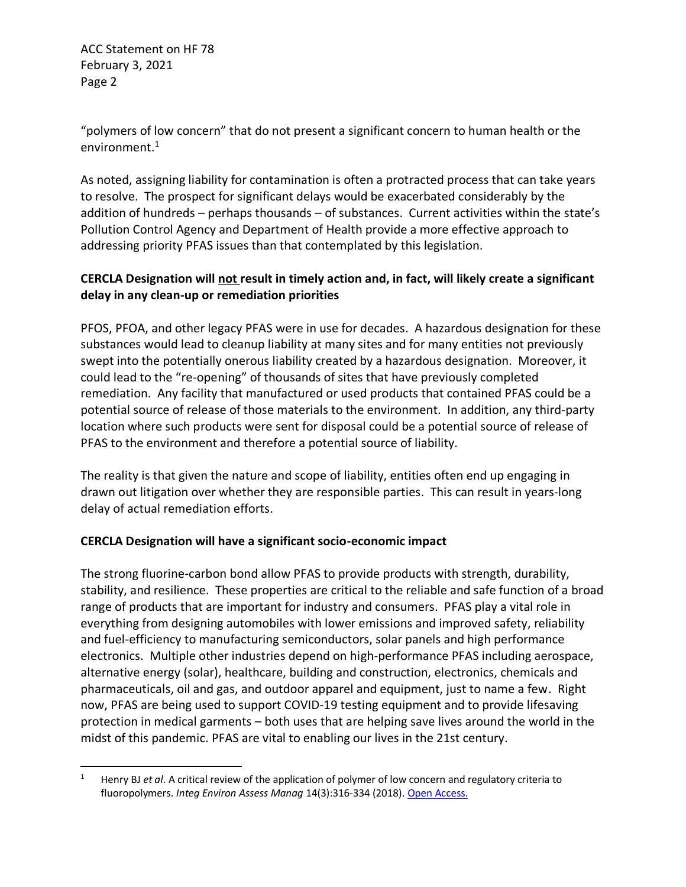ACC Statement on HF 78 February 3, 2021 Page 2

"polymers of low concern" that do not present a significant concern to human health or the environment.<sup>1</sup>

As noted, assigning liability for contamination is often a protracted process that can take years to resolve. The prospect for significant delays would be exacerbated considerably by the addition of hundreds – perhaps thousands – of substances. Current activities within the state's Pollution Control Agency and Department of Health provide a more effective approach to addressing priority PFAS issues than that contemplated by this legislation.

# **CERCLA Designation will not result in timely action and, in fact, will likely create a significant delay in any clean-up or remediation priorities**

PFOS, PFOA, and other legacy PFAS were in use for decades. A hazardous designation for these substances would lead to cleanup liability at many sites and for many entities not previously swept into the potentially onerous liability created by a hazardous designation. Moreover, it could lead to the "re-opening" of thousands of sites that have previously completed remediation. Any facility that manufactured or used products that contained PFAS could be a potential source of release of those materials to the environment. In addition, any third-party location where such products were sent for disposal could be a potential source of release of PFAS to the environment and therefore a potential source of liability.

The reality is that given the nature and scope of liability, entities often end up engaging in drawn out litigation over whether they are responsible parties. This can result in years-long delay of actual remediation efforts.

## **CERCLA Designation will have a significant socio-economic impact**

The strong fluorine-carbon bond allow PFAS to provide products with strength, durability, stability, and resilience. These properties are critical to the reliable and safe function of a broad range of products that are important for industry and consumers. PFAS play a vital role in everything from designing automobiles with lower emissions and improved safety, reliability and fuel-efficiency to manufacturing semiconductors, solar panels and high performance electronics. Multiple other industries depend on high-performance PFAS including aerospace, alternative energy (solar), healthcare, building and construction, electronics, chemicals and pharmaceuticals, oil and gas, and outdoor apparel and equipment, just to name a few. Right now, PFAS are being used to support COVID-19 testing equipment and to provide lifesaving protection in medical garments – both uses that are helping save lives around the world in the midst of this pandemic. PFAS are vital to enabling our lives in the 21st century.

<sup>1</sup> Henry BJ *et al*. A critical review of the application of polymer of low concern and regulatory criteria to fluoropolymers. *Integ Environ Assess Manag* 14(3):316-334 (2018)[. Open Access.](https://setac.onlinelibrary.wiley.com/doi/10.1002/ieam.4035)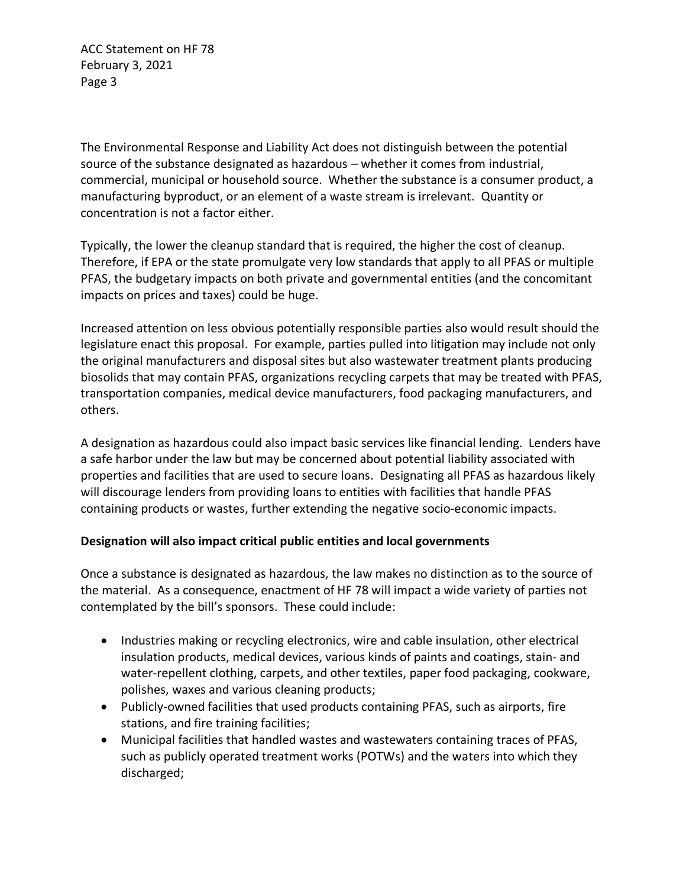ACC Statement on HF 78 February 3, 2021 Page 3

The Environmental Response and Liability Act does not distinguish between the potential source of the substance designated as hazardous – whether it comes from industrial, commercial, municipal or household source. Whether the substance is a consumer product, a manufacturing byproduct, or an element of a waste stream is irrelevant. Quantity or concentration is not a factor either.

Typically, the lower the cleanup standard that is required, the higher the cost of cleanup. Therefore, if EPA or the state promulgate very low standards that apply to all PFAS or multiple PFAS, the budgetary impacts on both private and governmental entities (and the concomitant impacts on prices and taxes) could be huge.

Increased attention on less obvious potentially responsible parties also would result should the legislature enact this proposal. For example, parties pulled into litigation may include not only the original manufacturers and disposal sites but also wastewater treatment plants producing biosolids that may contain PFAS, organizations recycling carpets that may be treated with PFAS, transportation companies, medical device manufacturers, food packaging manufacturers, and others.

A designation as hazardous could also impact basic services like financial lending. Lenders have a safe harbor under the law but may be concerned about potential liability associated with properties and facilities that are used to secure loans. Designating all PFAS as hazardous likely will discourage lenders from providing loans to entities with facilities that handle PFAS containing products or wastes, further extending the negative socio-economic impacts.

## **Designation will also impact critical public entities and local governments**

Once a substance is designated as hazardous, the law makes no distinction as to the source of the material. As a consequence, enactment of HF 78 will impact a wide variety of parties not contemplated by the bill's sponsors. These could include:

- Industries making or recycling electronics, wire and cable insulation, other electrical insulation products, medical devices, various kinds of paints and coatings, stain- and water-repellent clothing, carpets, and other textiles, paper food packaging, cookware, polishes, waxes and various cleaning products;
- Publicly-owned facilities that used products containing PFAS, such as airports, fire stations, and fire training facilities;
- Municipal facilities that handled wastes and wastewaters containing traces of PFAS, such as publicly operated treatment works (POTWs) and the waters into which they discharged;